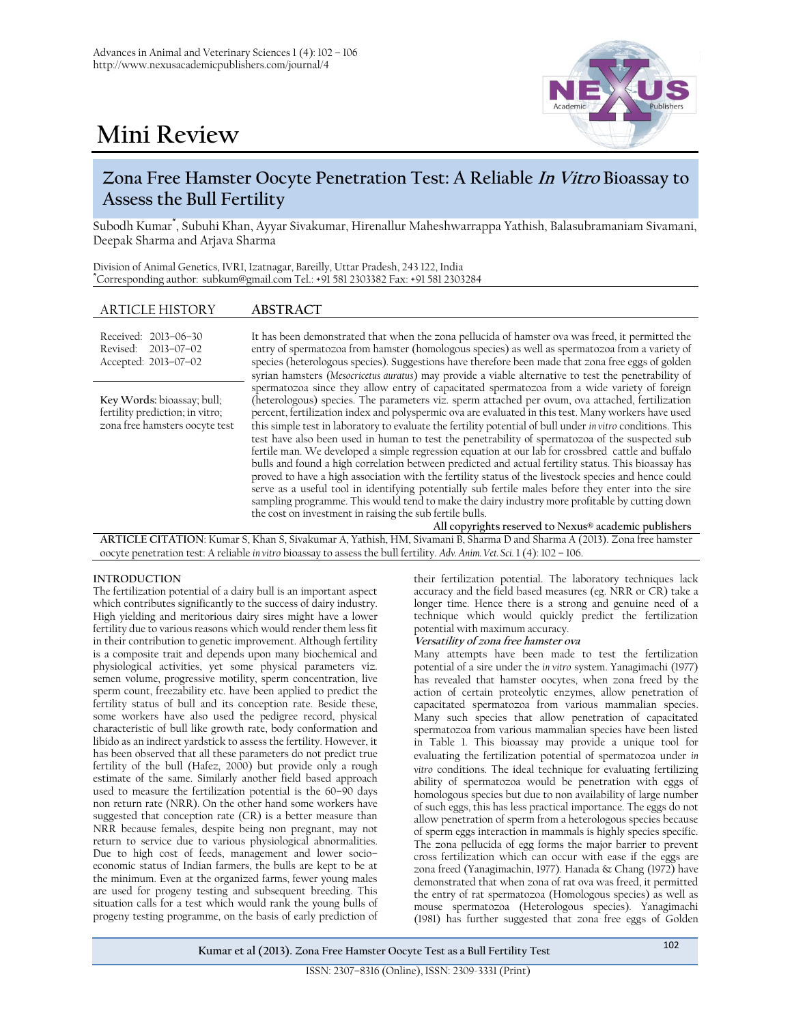

# **Mini Review**

## **Zona Free Hamster Oocyte Penetration Test: A Reliable In Vitro Bioassay to Assess the Bull Fertility**

Subodh Kumar\* , Subuhi Khan, Ayyar Sivakumar, Hirenallur Maheshwarrappa Yathish, Balasubramaniam Sivamani, Deepak Sharma and Arjava Sharma

| Division of Animal Genetics, IVRI, Izatnagar, Bareilly, Uttar Pradesh, 243 122, India |  |  |
|---------------------------------------------------------------------------------------|--|--|
| Corresponding author: subkum@gmail.com Tel.: +91 581 2303382 Fax: +91 581 2303284     |  |  |

### ARTICLE HISTORY **ABSTRACT**

| Received: 2013-06-30<br>Revised: 2013-07-02<br>Accepted: 2013-07-02                             | It has been demonstrated that when the zona pellucida of hamster ova was freed, it permitted the<br>entry of spermatozoa from hamster (homologous species) as well as spermatozoa from a variety of<br>species (heterologous species). Suggestions have therefore been made that zona free eggs of golden                                                                                                                                                                                                                                                                                                                                                                                                                                                                                                                                                                                                                                                                                                                 |
|-------------------------------------------------------------------------------------------------|---------------------------------------------------------------------------------------------------------------------------------------------------------------------------------------------------------------------------------------------------------------------------------------------------------------------------------------------------------------------------------------------------------------------------------------------------------------------------------------------------------------------------------------------------------------------------------------------------------------------------------------------------------------------------------------------------------------------------------------------------------------------------------------------------------------------------------------------------------------------------------------------------------------------------------------------------------------------------------------------------------------------------|
|                                                                                                 | syrian hamsters (Mesocricetus auratus) may provide a viable alternative to test the penetrability of<br>spermatozoa since they allow entry of capacitated spermatozoa from a wide variety of foreign                                                                                                                                                                                                                                                                                                                                                                                                                                                                                                                                                                                                                                                                                                                                                                                                                      |
| Key Words: bioassay; bull;<br>fertility prediction; in vitro;<br>zona free hamsters oocyte test | (heterologous) species. The parameters viz. sperm attached per ovum, ova attached, fertilization<br>percent, fertilization index and polyspermic ova are evaluated in this test. Many workers have used<br>this simple test in laboratory to evaluate the fertility potential of bull under <i>in vitro</i> conditions. This<br>test have also been used in human to test the penetrability of spermatozoa of the suspected sub<br>fertile man. We developed a simple regression equation at our lab for crossbred cattle and buffalo<br>bulls and found a high correlation between predicted and actual fertility status. This bioassay has<br>proved to have a high association with the fertility status of the livestock species and hence could<br>serve as a useful tool in identifying potentially sub fertile males before they enter into the sire<br>sampling programme. This would tend to make the dairy industry more profitable by cutting down<br>the cost on investment in raising the sub fertile bulls. |

**All copyrights reserved to Nexus® academic publishers**

**ARTICLE CITATION**: Kumar S, Khan S, Sivakumar A, Yathish, HM, Sivamani B, Sharma D and Sharma A (2013). Zona free hamster oocyte penetration test: A reliable *in vitro* bioassay to assess the bull fertility. *Adv. Anim. Vet. Sci.* 1 (4): 102 – 106.

#### **INTRODUCTION**

The fertilization potential of a dairy bull is an important aspect which contributes significantly to the success of dairy industry. High yielding and meritorious dairy sires might have a lower fertility due to various reasons which would render them less fit in their contribution to genetic improvement. Although fertility is a composite trait and depends upon many biochemical and physiological activities, yet some physical parameters viz. semen volume, progressive motility, sperm concentration, live sperm count, freezability etc. have been applied to predict the fertility status of bull and its conception rate. Beside these, some workers have also used the pedigree record, physical characteristic of bull like growth rate, body conformation and libido as an indirect yardstick to assess the fertility. However, it has been observed that all these parameters do not predict true fertility of the bull (Hafez, 2000) but provide only a rough estimate of the same. Similarly another field based approach used to measure the fertilization potential is the 60–90 days non return rate (NRR). On the other hand some workers have suggested that conception rate (CR) is a better measure than NRR because females, despite being non pregnant, may not return to service due to various physiological abnormalities. Due to high cost of feeds, management and lower socio– economic status of Indian farmers, the bulls are kept to be at the minimum. Even at the organized farms, fewer young males are used for progeny testing and subsequent breeding. This situation calls for a test which would rank the young bulls of progeny testing programme, on the basis of early prediction of

their fertilization potential. The laboratory techniques lack accuracy and the field based measures (eg. NRR or CR) take a longer time. Hence there is a strong and genuine need of a technique which would quickly predict the fertilization potential with maximum accuracy.

#### **Versatility of zona free hamster ova**

Many attempts have been made to test the fertilization potential of a sire under the *in vitro* system. Yanagimachi (1977) has revealed that hamster oocytes, when zona freed by the action of certain proteolytic enzymes, allow penetration of capacitated spermatozoa from various mammalian species. Many such species that allow penetration of capacitated spermatozoa from various mammalian species have been listed in Table 1. This bioassay may provide a unique tool for evaluating the fertilization potential of spermatozoa under *in vitro* conditions. The ideal technique for evaluating fertilizing ability of spermatozoa would be penetration with eggs of homologous species but due to non availability of large number of such eggs, this has less practical importance. The eggs do not allow penetration of sperm from a heterologous species because of sperm eggs interaction in mammals is highly species specific. The zona pellucida of egg forms the major barrier to prevent cross fertilization which can occur with ease if the eggs are zona freed (Yanagimachin, 1977). Hanada & Chang (1972) have demonstrated that when zona of rat ova was freed, it permitted the entry of rat spermatozoa (Homologous species) as well as mouse spermatozoa (Heterologous species). Yanagimachi (1981) has further suggested that zona free eggs of Golden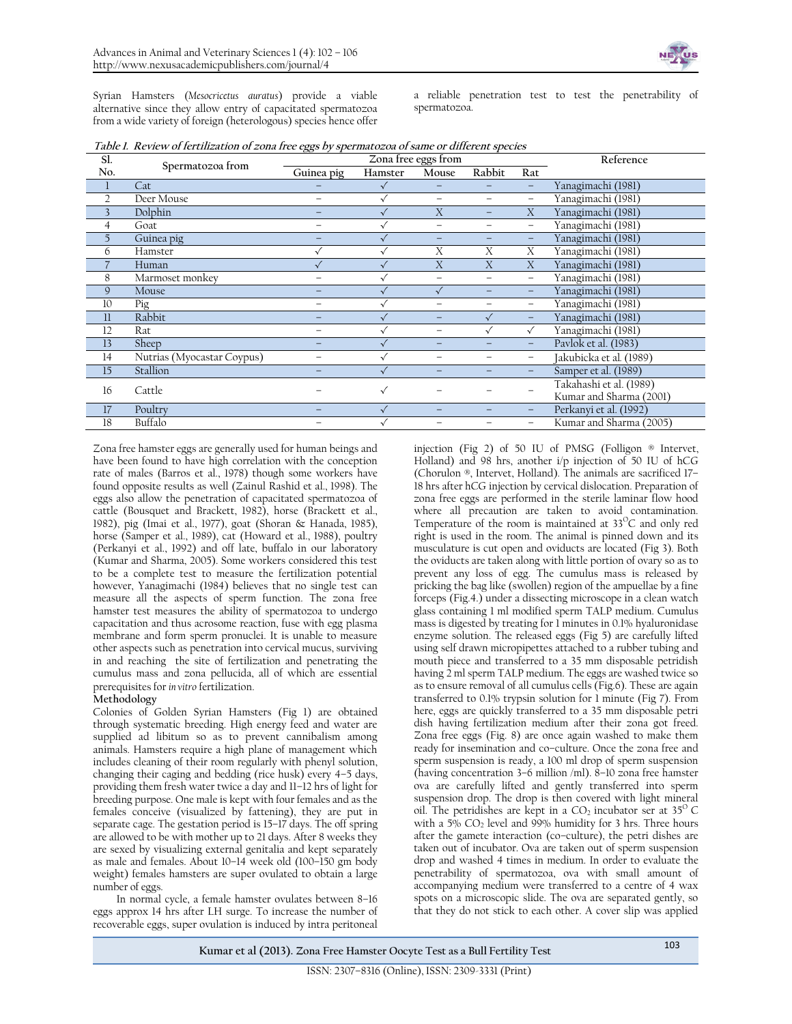Syrian Hamsters (*Mesocricetus auratus*) provide a viable alternative since they allow entry of capacitated spermatozoa from a wide variety of foreign (heterologous) species hence offer a reliable penetration test to test the penetrability of spermatozoa.

| Sl.            |                            | Zona free eggs from      |              |           |                          | Reference         |                         |
|----------------|----------------------------|--------------------------|--------------|-----------|--------------------------|-------------------|-------------------------|
| No.            | Spermatozoa from           | Guinea pig               | Hamster      | Mouse     | Rabbit                   | Rat               |                         |
|                | Cat                        |                          |              |           |                          |                   | Yanagimachi (1981)      |
| $\overline{2}$ | Deer Mouse                 |                          |              |           |                          |                   | Yanagimachi (1981)      |
| 3              | Dolphin                    |                          |              | X         |                          | X                 | Yanagimachi (1981)      |
| $\overline{4}$ | Goat                       |                          |              |           |                          |                   | Yanagimachi (1981)      |
| 5              | Guinea pig                 |                          |              |           |                          |                   | Yanagimachi (1981)      |
| 6              | Hamster                    |                          | $\checkmark$ | X         | X                        | X                 | Yanagimachi (1981)      |
|                | Human                      |                          | $\sqrt{}$    | X         | X                        | X                 | Yanagimachi (1981)      |
| 8              | Marmoset monkey            |                          |              |           | $\overline{\phantom{0}}$ |                   | Yanagimachi (1981)      |
| 9              | Mouse                      |                          |              | $\sqrt{}$ |                          |                   | Yanagimachi (1981)      |
| 10             | Pig                        | $\overline{\phantom{0}}$ |              |           |                          | $\qquad \qquad -$ | Yanagimachi (1981)      |
| $_{11}$        | Rabbit                     |                          |              |           | $\sqrt{}$                |                   | Yanagimachi (1981)      |
| 12             | Rat                        | -                        |              |           |                          |                   | Yanagimachi (1981)      |
| 13             | Sheep                      |                          |              |           |                          |                   | Pavlok et al. (1983)    |
| 14             | Nutrias (Myocastar Coypus) |                          |              |           |                          |                   | Jakubicka et al. (1989) |
| 15             | Stallion                   |                          |              |           |                          |                   | Samper et al. (1989)    |
| 16             | Cattle                     |                          | $\checkmark$ |           |                          |                   | Takahashi et al. (1989) |
|                |                            |                          |              |           |                          |                   | Kumar and Sharma (2001) |
| 17             | Poultry                    |                          | $\sqrt{}$    |           |                          |                   | Perkanyi et al. (1992)  |
| 18             | Buffalo                    |                          |              |           |                          |                   | Kumar and Sharma (2005) |

Zona free hamster eggs are generally used for human beings and have been found to have high correlation with the conception rate of males (Barros et al., 1978) though some workers have found opposite results as well (Zainul Rashid et al., 1998). The eggs also allow the penetration of capacitated spermatozoa of cattle (Bousquet and Brackett, 1982), horse (Brackett et al., 1982), pig (Imai et al., 1977), goat (Shoran & Hanada, 1985), horse (Samper et al., 1989), cat (Howard et al., 1988), poultry (Perkanyi et al., 1992) and off late, buffalo in our laboratory (Kumar and Sharma, 2005). Some workers considered this test to be a complete test to measure the fertilization potential however, Yanagimachi (1984) believes that no single test can measure all the aspects of sperm function. The zona free hamster test measures the ability of spermatozoa to undergo capacitation and thus acrosome reaction, fuse with egg plasma membrane and form sperm pronuclei. It is unable to measure other aspects such as penetration into cervical mucus, surviving in and reaching the site of fertilization and penetrating the cumulus mass and zona pellucida, all of which are essential prerequisites for *in vitro* fertilization.

#### **Methodology**

Colonies of Golden Syrian Hamsters (Fig 1) are obtained through systematic breeding. High energy feed and water are supplied ad libitum so as to prevent cannibalism among animals. Hamsters require a high plane of management which includes cleaning of their room regularly with phenyl solution, changing their caging and bedding (rice husk) every 4–5 days, providing them fresh water twice a day and 11–12 hrs of light for breeding purpose. One male is kept with four females and as the females conceive (visualized by fattening), they are put in separate cage. The gestation period is 15–17 days. The off spring are allowed to be with mother up to 21 days. After 8 weeks they are sexed by visualizing external genitalia and kept separately as male and females. About 10–14 week old (100–150 gm body weight) females hamsters are super ovulated to obtain a large number of eggs.

In normal cycle, a female hamster ovulates between 8–16 eggs approx 14 hrs after LH surge. To increase the number of recoverable eggs, super ovulation is induced by intra peritoneal

injection (Fig 2) of 50 IU of PMSG (Folligon ® Intervet, Holland) and 98 hrs, another i/p injection of 50 IU of hCG (Chorulon ®, Intervet, Holland). The animals are sacrificed 17– 18 hrs after hCG injection by cervical dislocation. Preparation of zona free eggs are performed in the sterile laminar flow hood where all precaution are taken to avoid contamination. Temperature of the room is maintained at  $33^{\circ}$ C and only red right is used in the room. The animal is pinned down and its musculature is cut open and oviducts are located (Fig 3). Both the oviducts are taken along with little portion of ovary so as to prevent any loss of egg. The cumulus mass is released by pricking the bag like (swollen) region of the ampuellae by a fine forceps (Fig.4.) under a dissecting microscope in a clean watch glass containing 1 ml modified sperm TALP medium. Cumulus mass is digested by treating for 1 minutes in 0.1% hyaluronidase enzyme solution. The released eggs (Fig 5) are carefully lifted using self drawn micropipettes attached to a rubber tubing and mouth piece and transferred to a 35 mm disposable petridish having 2 ml sperm TALP medium. The eggs are washed twice so as to ensure removal of all cumulus cells (Fig.6). These are again transferred to 0.1% trypsin solution for 1 minute (Fig 7). From here, eggs are quickly transferred to a 35 mm disposable petri dish having fertilization medium after their zona got freed. Zona free eggs (Fig. 8) are once again washed to make them ready for insemination and co–culture. Once the zona free and sperm suspension is ready, a 100 ml drop of sperm suspension (having concentration 3–6 million /ml). 8–10 zona free hamster ova are carefully lifted and gently transferred into sperm suspension drop. The drop is then covered with light mineral oil. The petridishes are kept in a  $CO<sub>2</sub>$  incubator ser at 35<sup>°</sup>C with a  $5\%$  CO<sub>2</sub> level and 99% humidity for 3 hrs. Three hours after the gamete interaction (co–culture), the petri dishes are taken out of incubator. Ova are taken out of sperm suspension drop and washed 4 times in medium. In order to evaluate the penetrability of spermatozoa, ova with small amount of accompanying medium were transferred to a centre of 4 wax spots on a microscopic slide. The ova are separated gently, so that they do not stick to each other. A cover slip was applied

**Kumar et al (2013). Zona Free Hamster Oocyte Test as a Bull Fertility Test** <sup>103</sup>

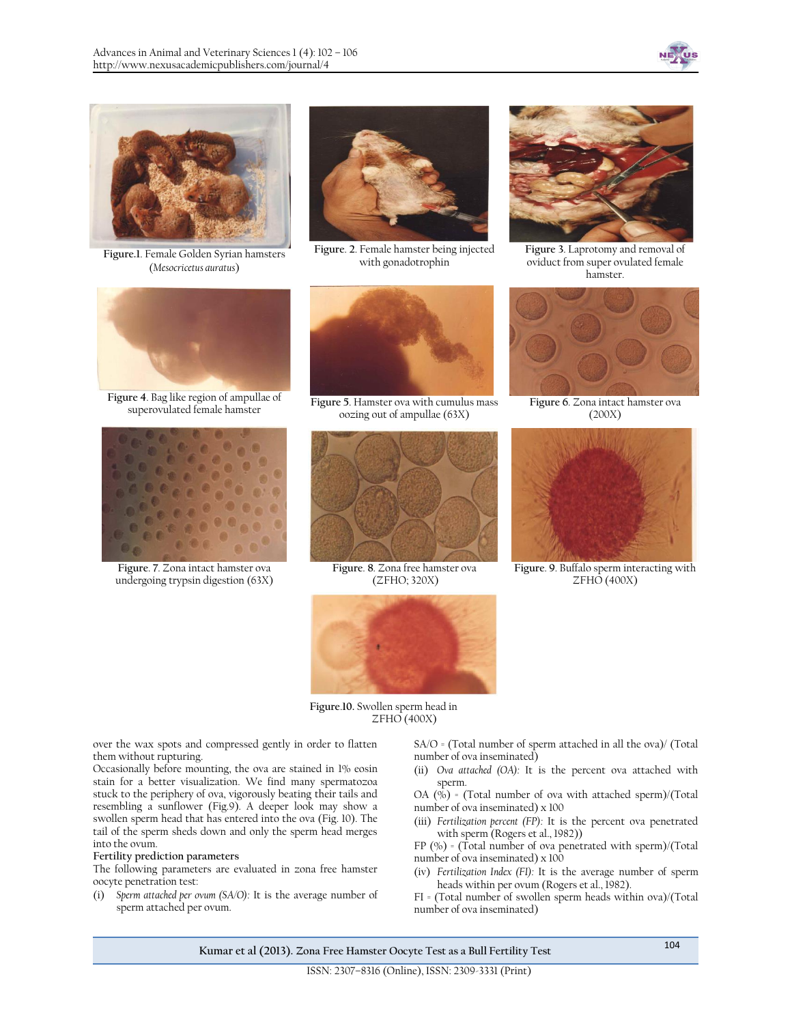



**Figure.1**. Female Golden Syrian hamsters (*Mesocricetus auratus*)



**Figure**. **2**. Female hamster being injected with gonadotrophin



**Figure 4**. Bag like region of ampullae of



**Figure**. **7**. Zona intact hamster ova undergoing trypsin digestion (63X)



Figure 5. Hamster ova with cumulus mass oozing out of ampullae (63X)



**Figure**. **8**. Zona free hamster ova (ZFHO; 320X)



**Figure 3**. Laprotomy and removal of oviduct from super ovulated female hamster.



**Figure 6**. Zona intact hamster ova (200X)



**Figure**. **9**. Buffalo sperm interacting with ZFHO (400X)



**Figure**.**10.** Swollen sperm head in ZFHO (400X)

over the wax spots and compressed gently in order to flatten them without rupturing.

Occasionally before mounting, the ova are stained in 1% eosin stain for a better visualization. We find many spermatozoa stuck to the periphery of ova, vigorously beating their tails and resembling a sunflower (Fig.9). A deeper look may show a swollen sperm head that has entered into the ova (Fig. 10). The tail of the sperm sheds down and only the sperm head merges into the ovum.

#### **Fertility prediction parameters**

The following parameters are evaluated in zona free hamster oocyte penetration test:

(i) *Sperm attached per ovum (SA/O):* It is the average number of sperm attached per ovum.

SA/O = (Total number of sperm attached in all the ova)/ (Total number of ova inseminated)

(ii) *Ova attached (OA):* It is the percent ova attached with sperm.

OA  $(\bar{\%})$  = (Total number of ova with attached sperm)/(Total number of ova inseminated) x 100

(iii) *Fertilization percent (FP):* It is the percent ova penetrated with sperm (Rogers et al., 1982))

FP  $(\% )$  = (Total number of ova penetrated with sperm)/(Total number of ova inseminated) x 100

(iv) *Fertilization Index (FI):* It is the average number of sperm heads within per ovum (Rogers et al., 1982).

FI = (Total number of swollen sperm heads within ova)/(Total number of ova inseminated)

**Kumar et al (2013). Zona Free Hamster Oocyte Test as a Bull Fertility Test** <sup>104</sup>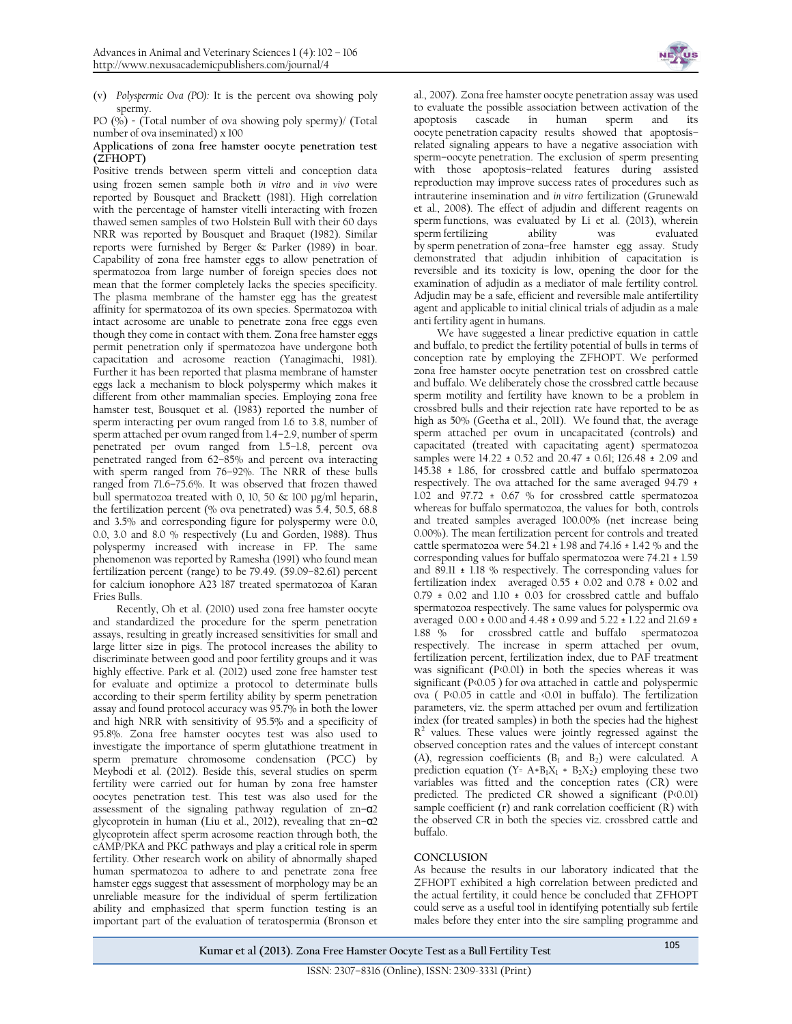

(v) *Polyspermic Ova (PO):* It is the percent ova showing poly spermy.

PO  $(\sqrt[6]{\circ})$  = (Total number of ova showing poly spermy)/ (Total number of ova inseminated) x 100

#### **Applications of zona free hamster oocyte penetration test (ZFHOPT)**

Positive trends between sperm vitteli and conception data using frozen semen sample both *in vitro* and *in vivo* were reported by Bousquet and Brackett (1981). High correlation with the percentage of hamster vitelli interacting with frozen thawed semen samples of two Holstein Bull with their 60 days NRR was reported by Bousquet and Braquet (1982). Similar reports were furnished by Berger & Parker (1989) in boar. Capability of zona free hamster eggs to allow penetration of spermatozoa from large number of foreign species does not mean that the former completely lacks the species specificity. The plasma membrane of the hamster egg has the greatest affinity for spermatozoa of its own species. Spermatozoa with intact acrosome are unable to penetrate zona free eggs even though they come in contact with them. Zona free hamster eggs permit penetration only if spermatozoa have undergone both capacitation and acrosome reaction (Yanagimachi, 1981). Further it has been reported that plasma membrane of hamster eggs lack a mechanism to block polyspermy which makes it different from other mammalian species. Employing zona free hamster test, Bousquet et al. (1983) reported the number of sperm interacting per ovum ranged from 1.6 to 3.8, number of sperm attached per ovum ranged from 1.4–2.9, number of sperm penetrated per ovum ranged from 1.5–1.8, percent ova penetrated ranged from 62–85% and percent ova interacting with sperm ranged from 76–92%. The NRR of these bulls ranged from 71.6–75.6%. It was observed that frozen thawed bull spermatozoa treated with 0, 10, 50 & 100 µg/ml heparin**,**  the fertilization percent (% ova penetrated) was 5.4, 50.5, 68.8 and 3.5% and corresponding figure for polyspermy were 0.0, 0.0, 3.0 and 8.0 % respectively (Lu and Gorden, 1988). Thus polyspermy increased with increase in FP. The same phenomenon was reported by Ramesha (1991) who found mean fertilization percent (range) to be 79.49. (59.09–82.61) percent for calcium ionophore A23 187 treated spermatozoa of Karan Fries Bulls.

Recently, Oh et al. (2010) used zona free hamster oocyte and standardized the procedure for the sperm penetration assays, resulting in greatly increased sensitivities for small and large litter size in pigs. The protocol increases the ability to discriminate between good and poor fertility groups and it was highly effective. Park et al. (2012) used zone free hamster test for evaluate and optimize a protocol to determinate bulls according to their sperm fertility ability by sperm penetration assay and found protocol accuracy was 95.7% in both the lower and high NRR with sensitivity of 95.5% and a specificity of 95.8%. Zona free hamster oocytes test was also used to investigate the importance of sperm glutathione treatment in sperm premature chromosome condensation (PCC) by Meybodi et al. (2012). Beside this, several studies on sperm fertility were carried out for human by zona free hamster oocytes penetration test. This test was also used for the assessment of the signaling pathway regulation of zn–α2 glycoprotein in human (Liu et al., 2012), revealing that zn–α2 glycoprotein affect sperm acrosome reaction through both, the cAMP/PKA and PKC pathways and play a critical role in sperm fertility. Other research work on ability of abnormally shaped human spermatozoa to adhere to and penetrate zona free hamster eggs suggest that assessment of morphology may be an unreliable measure for the individual of sperm fertilization ability and emphasized that sperm function testing is an important part of the evaluation of teratospermia (Bronson et

al., 2007). Zona free hamster oocyte penetration assay was used to evaluate the possible association between activation of the apoptosis cascade in human sperm and its oocyte penetration capacity results showed that apoptosis– related signaling appears to have a negative association with sperm–oocyte penetration. The exclusion of sperm presenting with those apoptosis–related features during assisted reproduction may improve success rates of procedures such as intrauterine insemination and *in vitro* fertilization (Grunewald et al., 2008). The effect of adjudin and different reagents on sperm functions, was evaluated by Li et al. (2013), wherein<br>sperm fertilizing ability was evaluated sperm fertilizing ability was by sperm penetration of zona–free hamster egg assay. Study demonstrated that adjudin inhibition of capacitation is reversible and its toxicity is low, opening the door for the examination of adjudin as a mediator of male fertility control. Adjudin may be a safe, efficient and reversible male antifertility agent and applicable to initial clinical trials of adjudin as a male anti fertility agent in humans.

We have suggested a linear predictive equation in cattle and buffalo, to predict the fertility potential of bulls in terms of conception rate by employing the ZFHOPT. We performed zona free hamster oocyte penetration test on crossbred cattle and buffalo. We deliberately chose the crossbred cattle because sperm motility and fertility have known to be a problem in crossbred bulls and their rejection rate have reported to be as high as 50% (Geetha et al., 2011). We found that, the average sperm attached per ovum in uncapacitated (controls) and capacitated (treated with capacitating agent) spermatozoa samples were 14.22 ± 0.52 and 20.47 ± 0.61; 126.48 ± 2.09 and 145.38 ± 1.86, for crossbred cattle and buffalo spermatozoa respectively. The ova attached for the same averaged 94.79 ± 1.02 and  $97.72 \pm 0.67$  % for crossbred cattle spermatozoa whereas for buffalo spermatozoa, the values for both, controls and treated samples averaged 100.00% (net increase being 0.00%). The mean fertilization percent for controls and treated cattle spermatozoa were  $54.21 \pm 1.98$  and  $74.16 \pm 1.42$  % and the corresponding values for buffalo spermatozoa were 74.21 ± 1.59 and 89.11 ± 1.18 % respectively. The corresponding values for fertilization index averaged 0.55 ± 0.02 and 0.78 ± 0.02 and  $0.79 \pm 0.02$  and  $1.10 \pm 0.03$  for crossbred cattle and buffalo spermatozoa respectively. The same values for polyspermic ova averaged 0.00 ± 0.00 and 4.48 ± 0.99 and 5.22 ± 1.22 and 21.69 ± 1.88 % for crossbred cattle and buffalo spermatozoa respectively. The increase in sperm attached per ovum, fertilization percent, fertilization index, due to PAF treatment was significant (P<0.01) in both the species whereas it was significant (P<0.05 ) for ova attached in cattle and polyspermic ova ( P<0.05 in cattle and <0.01 in buffalo). The fertilization parameters, viz. the sperm attached per ovum and fertilization index (for treated samples) in both the species had the highest  $R<sup>2</sup>$  values. These values were jointly regressed against the observed conception rates and the values of intercept constant (A), regression coefficients  $(B_1 \text{ and } B_2)$  were calculated. A prediction equation (Y= A+B<sub>1</sub>X<sub>1</sub> + B<sub>2</sub>X<sub>2</sub>) employing these two variables was fitted and the conception rates (CR) were predicted. The predicted CR showed a significant (P<0.01) sample coefficient (r) and rank correlation coefficient (R) with the observed CR in both the species viz. crossbred cattle and buffalo.

#### **CONCLUSION**

As because the results in our laboratory indicated that the ZFHOPT exhibited a high correlation between predicted and the actual fertility, it could hence be concluded that ZFHOPT could serve as a useful tool in identifying potentially sub fertile males before they enter into the sire sampling programme and